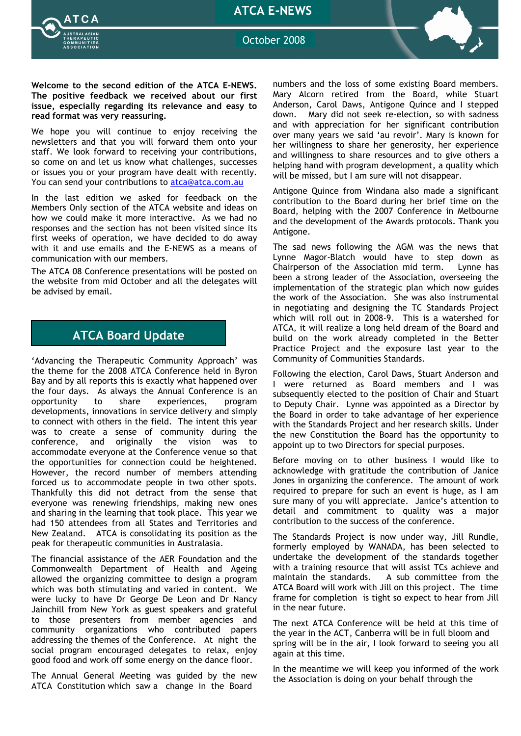ATCA E-NEWS



October 2008

Welcome to the second edition of the ATCA E-NEWS. The positive feedback we received about our first issue, especially regarding its relevance and easy to read format was very reassuring.

We hope you will continue to enjoy receiving the newsletters and that you will forward them onto your staff. We look forward to receiving your contributions, so come on and let us know what challenges, successes or issues you or your program have dealt with recently. You can send your contributions to atca@atca.com.au

In the last edition we asked for feedback on the Members Only section of the ATCA website and ideas on how we could make it more interactive. As we had no responses and the section has not been visited since its first weeks of operation, we have decided to do away with it and use emails and the E-NEWS as a means of communication with our members.

The ATCA 08 Conference presentations will be posted on the website from mid October and all the delegates will be advised by email.

## ATCA Board Update

'Advancing the Therapeutic Community Approach' was the theme for the 2008 ATCA Conference held in Byron Bay and by all reports this is exactly what happened over the four days. As always the Annual Conference is an opportunity to share experiences, program developments, innovations in service delivery and simply to connect with others in the field. The intent this year was to create a sense of community during the conference, and originally the vision was to accommodate everyone at the Conference venue so that the opportunities for connection could be heightened. However, the record number of members attending forced us to accommodate people in two other spots. Thankfully this did not detract from the sense that everyone was renewing friendships, making new ones and sharing in the learning that took place. This year we had 150 attendees from all States and Territories and New Zealand. ATCA is consolidating its position as the peak for therapeutic communities in Australasia.

The financial assistance of the AER Foundation and the Commonwealth Department of Health and Ageing allowed the organizing committee to design a program which was both stimulating and varied in content. We were lucky to have Dr George De Leon and Dr Nancy Jainchill from New York as guest speakers and grateful to those presenters from member agencies and community organizations who contributed papers addressing the themes of the Conference. At night the social program encouraged delegates to relax, enjoy good food and work off some energy on the dance floor.

The Annual General Meeting was guided by the new ATCA Constitution which saw a change in the Board

numbers and the loss of some existing Board members. Mary Alcorn retired from the Board, while Stuart Anderson, Carol Daws, Antigone Quince and I stepped down. Mary did not seek re-election, so with sadness and with appreciation for her significant contribution over many years we said 'au revoir'. Mary is known for her willingness to share her generosity, her experience and willingness to share resources and to give others a helping hand with program development, a quality which will be missed, but I am sure will not disappear.

Antigone Quince from Windana also made a significant contribution to the Board during her brief time on the Board, helping with the 2007 Conference in Melbourne and the development of the Awards protocols. Thank you Antigone.

The sad news following the AGM was the news that Lynne Magor-Blatch would have to step down as Chairperson of the Association mid term. Lynne has been a strong leader of the Association, overseeing the implementation of the strategic plan which now guides the work of the Association. She was also instrumental in negotiating and designing the TC Standards Project which will roll out in 2008-9. This is a watershed for ATCA, it will realize a long held dream of the Board and build on the work already completed in the Better Practice Project and the exposure last year to the Community of Communities Standards.

Following the election, Carol Daws, Stuart Anderson and I were returned as Board members and I was subsequently elected to the position of Chair and Stuart to Deputy Chair. Lynne was appointed as a Director by the Board in order to take advantage of her experience with the Standards Project and her research skills. Under the new Constitution the Board has the opportunity to appoint up to two Directors for special purposes.

Before moving on to other business I would like to acknowledge with gratitude the contribution of Janice Jones in organizing the conference. The amount of work required to prepare for such an event is huge, as I am sure many of you will appreciate. Janice's attention to detail and commitment to quality was a major contribution to the success of the conference.

The Standards Project is now under way, Jill Rundle, formerly employed by WANADA, has been selected to undertake the development of the standards together with a training resource that will assist TCs achieve and maintain the standards. A sub committee from the ATCA Board will work with Jill on this project. The time frame for completion is tight so expect to hear from Jill in the near future.

The next ATCA Conference will be held at this time of the year in the ACT, Canberra will be in full bloom and spring will be in the air, I look forward to seeing you all again at this time.

In the meantime we will keep you informed of the work the Association is doing on your behalf through the